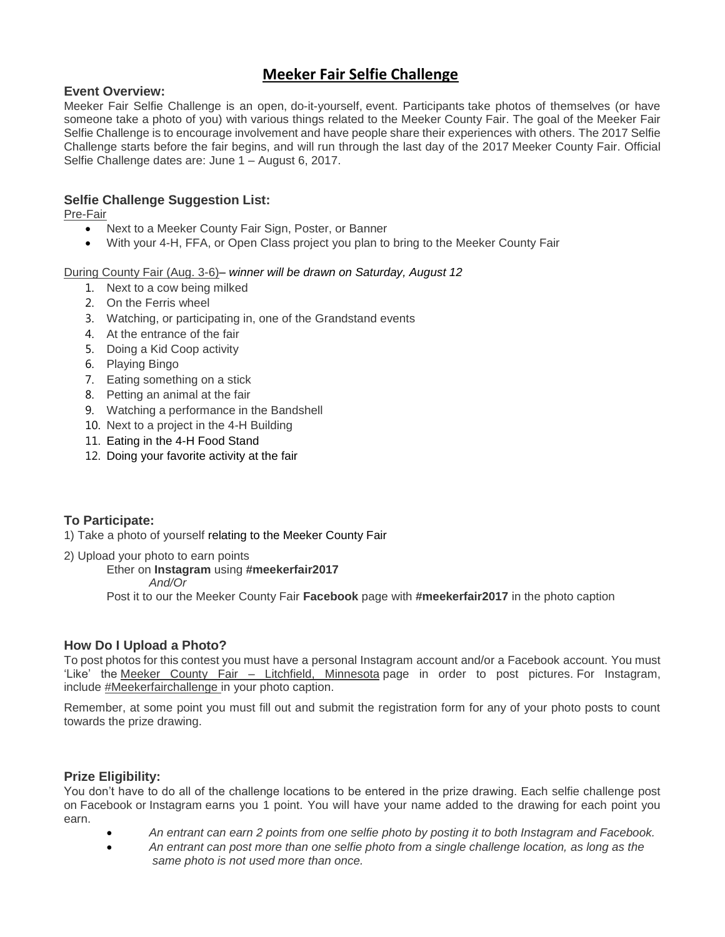# **Meeker Fair Selfie Challenge**

# **Event Overview:**

Meeker Fair Selfie Challenge is an open, do-it-yourself, event. Participants take photos of themselves (or have someone take a photo of you) with various things related to the Meeker County Fair. The goal of the Meeker Fair Selfie Challenge is to encourage involvement and have people share their experiences with others. The 2017 Selfie Challenge starts before the fair begins, and will run through the last day of the 2017 Meeker County Fair. Official Selfie Challenge dates are: June 1 – August 6, 2017.

# **Selfie Challenge Suggestion List:**

Pre-Fair

- Next to a Meeker County Fair Sign, Poster, or Banner
- With your 4-H, FFA, or Open Class project you plan to bring to the Meeker County Fair

#### During County Fair (Aug. 3-6)– *winner will be drawn on Saturday, August 12*

- 1. Next to a cow being milked
- 2. On the Ferris wheel
- 3. Watching, or participating in, one of the Grandstand events
- 4. At the entrance of the fair
- 5. Doing a Kid Coop activity
- 6. Playing Bingo
- 7. Eating something on a stick
- 8. Petting an animal at the fair
- 9. Watching a performance in the Bandshell
- 10. Next to a project in the 4-H Building
- 11. Eating in the 4-H Food Stand
- 12. Doing your favorite activity at the fair

# **To Participate:**

1) Take a photo of yourself relating to the Meeker County Fair

2) Upload your photo to earn points

Ether on **Instagram** using **#meekerfair2017**

#### *And/Or*

Post it to our the Meeker County Fair **Facebook** page with **#meekerfair2017** in the photo caption

## **How Do I Upload a Photo?**

To post photos for this contest you must have a personal Instagram account and/or a Facebook account. You must 'Like' the Meeker County Fair – Litchfield, Minnesota page in order to post pictures. For Instagram, include #Meekerfairchallenge in your photo caption.

Remember, at some point you must fill out and submit the registration form for any of your photo posts to count towards the prize drawing.

## **Prize Eligibility:**

You don't have to do all of the challenge locations to be entered in the prize drawing. Each selfie challenge post on Facebook or Instagram earns you 1 point. You will have your name added to the drawing for each point you earn.

- *An entrant can earn 2 points from one selfie photo by posting it to both Instagram and Facebook.*
- *An entrant can post more than one selfie photo from a single challenge location, as long as the same photo is not used more than once.*